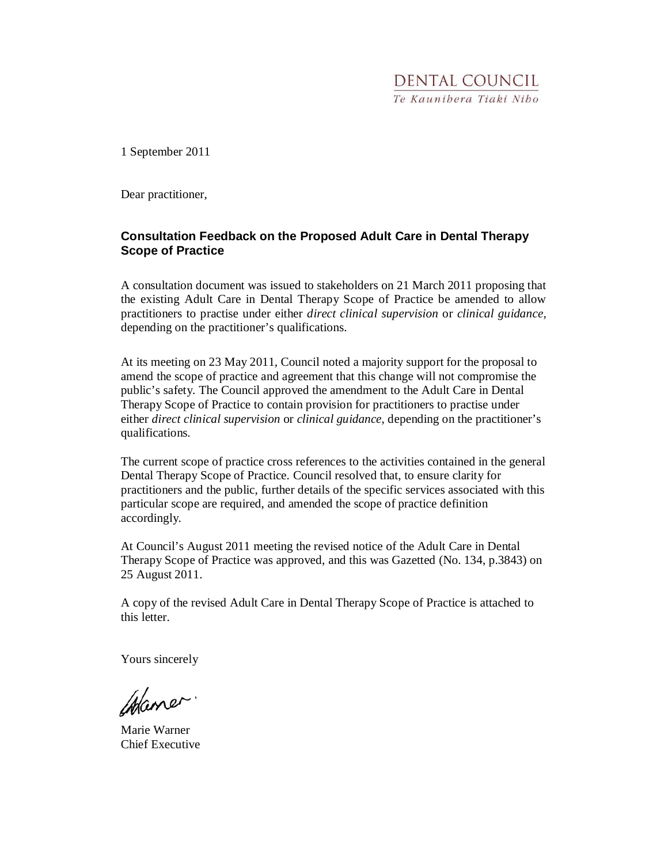1 September 2011

Dear practitioner,

### **Consultation Feedback on the Proposed Adult Care in Dental Therapy Scope of Practice**

A consultation document was issued to stakeholders on 21 March 2011 proposing that the existing Adult Care in Dental Therapy Scope of Practice be amended to allow practitioners to practise under either *direct clinical supervision* or *clinical guidance,* depending on the practitioner's qualifications.

At its meeting on 23 May 2011, Council noted a majority support for the proposal to amend the scope of practice and agreement that this change will not compromise the public's safety. The Council approved the amendment to the Adult Care in Dental Therapy Scope of Practice to contain provision for practitioners to practise under either *direct clinical supervision* or *clinical guidance*, depending on the practitioner's qualifications.

The current scope of practice cross references to the activities contained in the general Dental Therapy Scope of Practice. Council resolved that, to ensure clarity for practitioners and the public, further details of the specific services associated with this particular scope are required, and amended the scope of practice definition accordingly.

At Council's August 2011 meeting the revised notice of the Adult Care in Dental Therapy Scope of Practice was approved, and this was Gazetted (No. 134, p.3843) on 25 August 2011.

A copy of the revised Adult Care in Dental Therapy Scope of Practice is attached to this letter.

Yours sincerely

Maner.

Marie Warner Chief Executive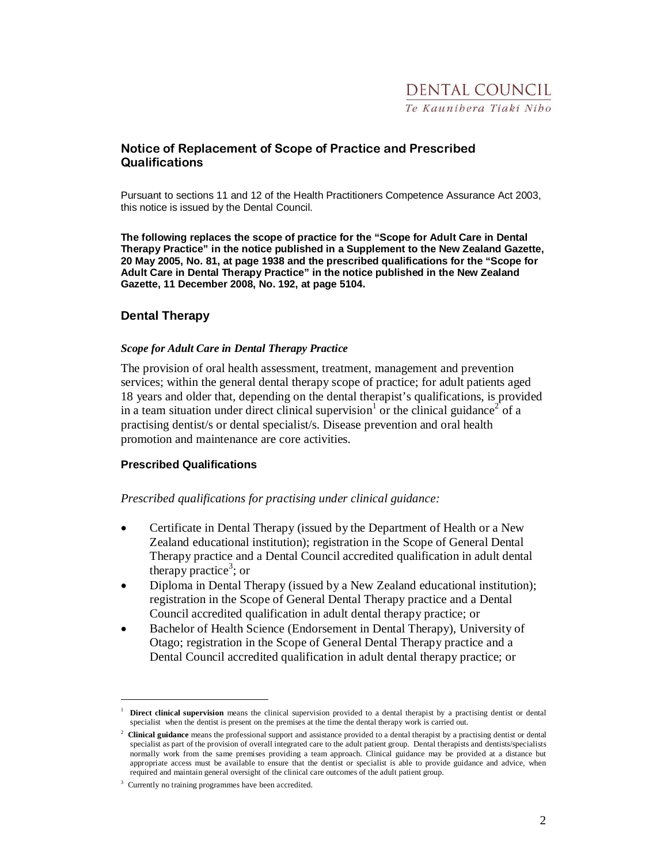## Notice of Replacement of Scope of Practice and Prescribed **Qualifications**

Pursuant to sections 11 and 12 of the Health Practitioners Competence Assurance Act 2003, this notice is issued by the Dental Council.

**The following replaces the scope of practice for the "Scope for Adult Care in Dental Therapy Practice" in the notice published in a Supplement to the New Zealand Gazette, 20 May 2005, No. 81, at page 1938 and the prescribed qualifications for the "Scope for Adult Care in Dental Therapy Practice" in the notice published in the New Zealand Gazette, 11 December 2008, No. 192, at page 5104.** 

### **Dental Therapy**

#### *Scope for Adult Care in Dental Therapy Practice*

The provision of oral health assessment, treatment, management and prevention services; within the general dental therapy scope of practice; for adult patients aged 18 years and older that, depending on the dental therapist's qualifications, is provided in a team situation under direct clinical supervision<sup>1</sup> or the clinical guidance<sup>2</sup> of a practising dentist/s or dental specialist/s. Disease prevention and oral health promotion and maintenance are core activities.

### **Prescribed Qualifications**

### *Prescribed qualifications for practising under clinical guidance:*

- Certificate in Dental Therapy (issued by the Department of Health or a New Zealand educational institution); registration in the Scope of General Dental Therapy practice and a Dental Council accredited qualification in adult dental therapy practice<sup>3</sup>; or
- Diploma in Dental Therapy (issued by a New Zealand educational institution); registration in the Scope of General Dental Therapy practice and a Dental Council accredited qualification in adult dental therapy practice; or
- Bachelor of Health Science (Endorsement in Dental Therapy), University of Otago; registration in the Scope of General Dental Therapy practice and a Dental Council accredited qualification in adult dental therapy practice; or

 $\overline{a}$ 

<sup>1</sup> **Direct clinical supervision** means the clinical supervision provided to a dental therapist by a practising dentist or dental specialist when the dentist is present on the premises at the time the dental therapy work is carried out.

<sup>2</sup> **Clinical guidance** means the professional support and assistance provided to a dental therapist by a practising dentist or dental specialist as part of the provision of overall integrated care to the adult patient group. Dental therapists and dentists/specialists normally work from the same premises providing a team approach. Clinical guidance may be provided at a distance but appropriate access must be available to ensure that the dentist or specialist is able to provide guidance and advice, when required and maintain general oversight of the clinical care outcomes of the adult patient group.

<sup>3</sup> Currently no training programmes have been accredited.